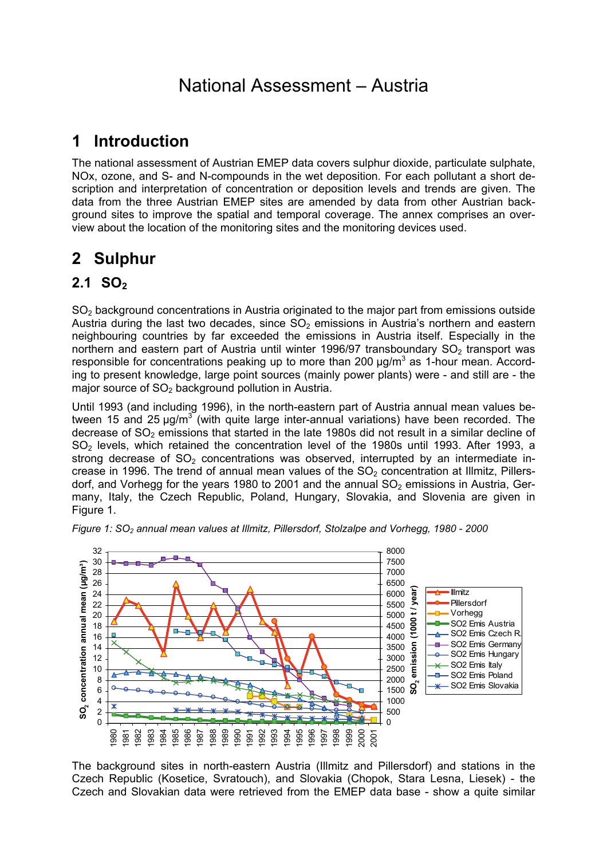# National Assessment – Austria

# **1 Introduction**

The national assessment of Austrian EMEP data covers sulphur dioxide, particulate sulphate, NOx, ozone, and S- and N-compounds in the wet deposition. For each pollutant a short description and interpretation of concentration or deposition levels and trends are given. The data from the three Austrian EMEP sites are amended by data from other Austrian background sites to improve the spatial and temporal coverage. The annex comprises an overview about the location of the monitoring sites and the monitoring devices used.

# **2 Sulphur**

## **2.1 SO<sub>2</sub>**

SO<sub>2</sub> background concentrations in Austria originated to the major part from emissions outside Austria during the last two decades, since  $SO<sub>2</sub>$  emissions in Austria's northern and eastern neighbouring countries by far exceeded the emissions in Austria itself. Especially in the northern and eastern part of Austria until winter 1996/97 transboundary  $SO<sub>2</sub>$  transport was responsible for concentrations peaking up to more than 200  $\mu$ g/m<sup>3</sup> as 1-hour mean. According to present knowledge, large point sources (mainly power plants) were - and still are - the major source of  $SO<sub>2</sub>$  background pollution in Austria.

Until 1993 (and including 1996), in the north-eastern part of Austria annual mean values between 15 and 25  $\mu$ g/m<sup>3</sup> (with quite large inter-annual variations) have been recorded. The decrease of  $SO<sub>2</sub>$  emissions that started in the late 1980s did not result in a similar decline of SO2 levels, which retained the concentration level of the 1980s until 1993. After 1993, a strong decrease of  $SO_2$  concentrations was observed, interrupted by an intermediate increase in 1996. The trend of annual mean values of the  $SO<sub>2</sub>$  concentration at Illmitz, Pillersdorf, and Vorhegg for the years 1980 to 2001 and the annual  $SO<sub>2</sub>$  emissions in Austria, Germany, Italy, the Czech Republic, Poland, Hungary, Slovakia, and Slovenia are given in Figure 1.



*Figure 1: SO<sub>2</sub> annual mean values at Illmitz, Pillersdorf, Stolzalpe and Vorhegg, 1980 - 2000* 

The background sites in north-eastern Austria (Illmitz and Pillersdorf) and stations in the Czech Republic (Kosetice, Svratouch), and Slovakia (Chopok, Stara Lesna, Liesek) - the Czech and Slovakian data were retrieved from the EMEP data base - show a quite similar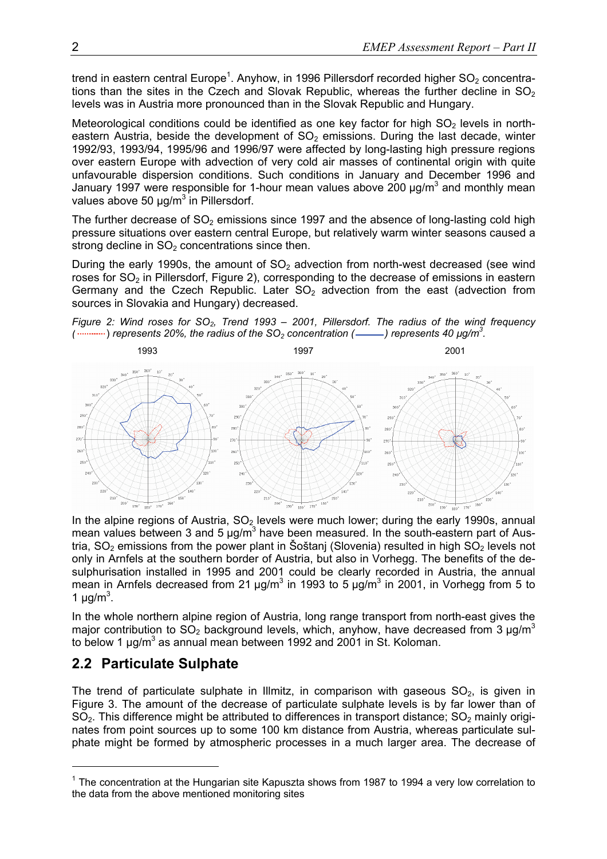trend in eastern central Europe<sup>1</sup>. Anyhow, in 1996 Pillersdorf recorded higher SO<sub>2</sub> concentrations than the sites in the Czech and Slovak Republic, whereas the further decline in  $SO<sub>2</sub>$ levels was in Austria more pronounced than in the Slovak Republic and Hungary.

Meteorological conditions could be identified as one key factor for high  $SO<sub>2</sub>$  levels in northeastern Austria, beside the development of  $SO<sub>2</sub>$  emissions. During the last decade, winter 1992/93, 1993/94, 1995/96 and 1996/97 were affected by long-lasting high pressure regions over eastern Europe with advection of very cold air masses of continental origin with quite unfavourable dispersion conditions. Such conditions in January and December 1996 and January 1997 were responsible for 1-hour mean values above 200  $\mu$ g/m<sup>3</sup> and monthly mean values above 50  $\mu$ g/m<sup>3</sup> in Pillersdorf.

The further decrease of  $SO<sub>2</sub>$  emissions since 1997 and the absence of long-lasting cold high pressure situations over eastern central Europe, but relatively warm winter seasons caused a strong decline in  $SO<sub>2</sub>$  concentrations since then.

During the early 1990s, the amount of  $SO<sub>2</sub>$  advection from north-west decreased (see wind roses for  $SO<sub>2</sub>$  in Pillersdorf, Figure 2), corresponding to the decrease of emissions in eastern Germany and the Czech Republic. Later  $SO<sub>2</sub>$  advection from the east (advection from sources in Slovakia and Hungary) decreased.

*Figure 2: Wind roses for SO<sub>2</sub>, Trend 1993 – 2001, Pillersdorf. The radius of the wind frequency*  $(\frac{1}{2}, \frac{1}{2})$  represents 20%, the radius of the SO<sub>2</sub> concentration (- ) represents 40  $\mu$ g/m<sup>3</sup>.



In the alpine regions of Austria,  $SO<sub>2</sub>$  levels were much lower; during the early 1990s, annual mean values between 3 and 5  $\mu$ g/m<sup>3</sup> have been measured. In the south-eastern part of Austria,  $SO<sub>2</sub>$  emissions from the power plant in Šoštanj (Slovenia) resulted in high  $SO<sub>2</sub>$  levels not only in Arnfels at the southern border of Austria, but also in Vorhegg. The benefits of the desulphurisation installed in 1995 and 2001 could be clearly recorded in Austria, the annual mean in Arnfels decreased from 21  $\mu$ g/m<sup>3</sup> in 1993 to 5  $\mu$ g/m<sup>3</sup> in 2001, in Vorhegg from 5 to 1  $\mu$ g/m<sup>3</sup>.

In the whole northern alpine region of Austria, long range transport from north-east gives the major contribution to  $SO_2$  background levels, which, anyhow, have decreased from 3  $\mu$ g/m<sup>3</sup> to below 1  $\mu$ g/m<sup>3</sup> as annual mean between 1992 and 2001 in St. Koloman.

### **2.2 Particulate Sulphate**

l

The trend of particulate sulphate in Illmitz, in comparison with gaseous  $SO_2$ , is given in Figure 3. The amount of the decrease of particulate sulphate levels is by far lower than of  $SO<sub>2</sub>$ . This difference might be attributed to differences in transport distance;  $SO<sub>2</sub>$  mainly originates from point sources up to some 100 km distance from Austria, whereas particulate sulphate might be formed by atmospheric processes in a much larger area. The decrease of

 $1$  The concentration at the Hungarian site Kapuszta shows from 1987 to 1994 a very low correlation to the data from the above mentioned monitoring sites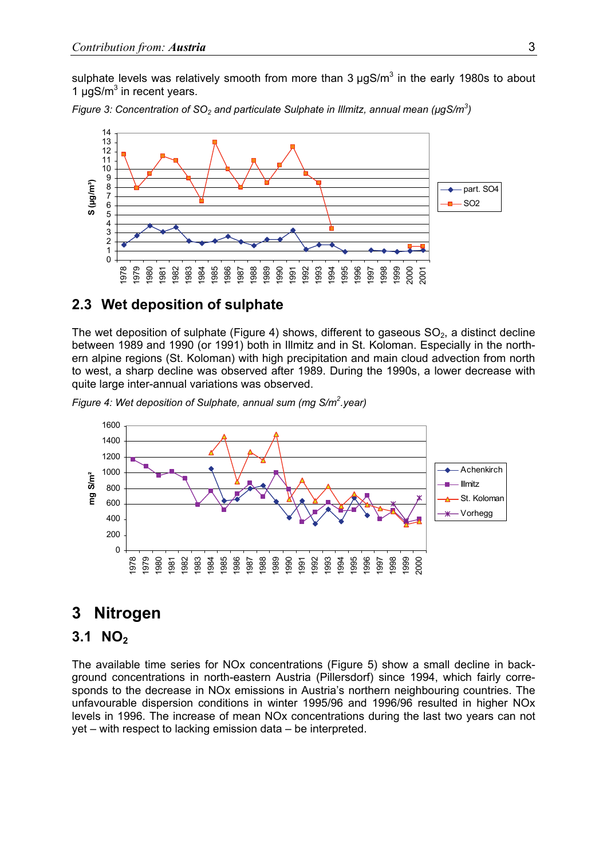sulphate levels was relatively smooth from more than 3  $\mu$ gS/m<sup>3</sup> in the early 1980s to about 1  $\mu$ gS/m<sup>3</sup> in recent years.

*Figure 3: Concentration of SO<sub>2</sub> and particulate Sulphate in Illmitz, annual mean (µgS/m<sup>3</sup>)* 



#### **2.3 Wet deposition of sulphate**

The wet deposition of sulphate (Figure 4) shows, different to gaseous  $SO<sub>2</sub>$ , a distinct decline between 1989 and 1990 (or 1991) both in Illmitz and in St. Koloman. Especially in the northern alpine regions (St. Koloman) with high precipitation and main cloud advection from north to west, a sharp decline was observed after 1989. During the 1990s, a lower decrease with quite large inter-annual variations was observed.

*Figure 4: Wet deposition of Sulphate, annual sum (mg S/m<sup>2</sup>.year)* 



### **3 Nitrogen**

#### **3.1 NO<sub>2</sub>**

The available time series for NOx concentrations (Figure 5) show a small decline in background concentrations in north-eastern Austria (Pillersdorf) since 1994, which fairly corresponds to the decrease in NOx emissions in Austria's northern neighbouring countries. The unfavourable dispersion conditions in winter 1995/96 and 1996/96 resulted in higher NOx levels in 1996. The increase of mean NOx concentrations during the last two years can not yet – with respect to lacking emission data – be interpreted.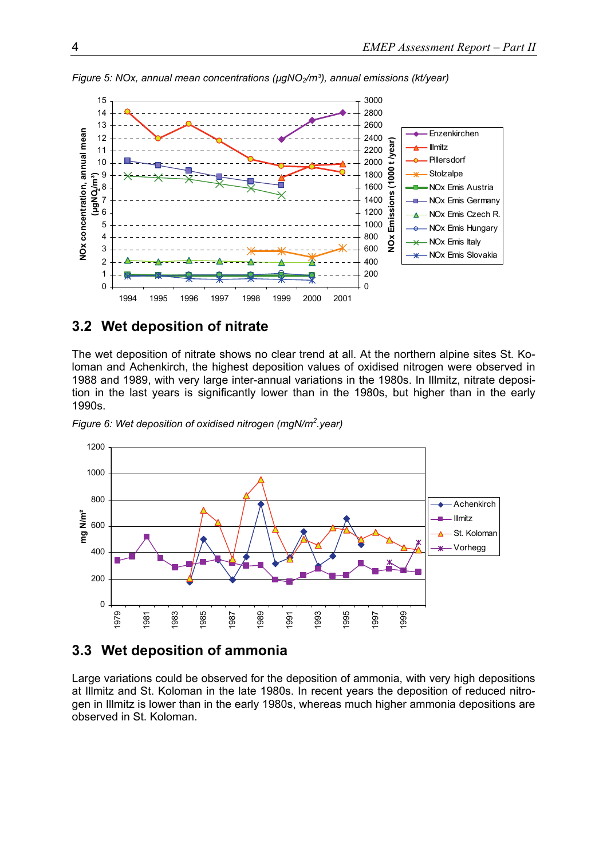

*Figure 5: NOx, annual mean concentrations (µgNO<sub>2</sub>/m<sup>3</sup>), annual emissions (kt/year)* 

### **3.2 Wet deposition of nitrate**

The wet deposition of nitrate shows no clear trend at all. At the northern alpine sites St. Koloman and Achenkirch, the highest deposition values of oxidised nitrogen were observed in 1988 and 1989, with very large inter-annual variations in the 1980s. In Illmitz, nitrate deposition in the last years is significantly lower than in the 1980s, but higher than in the early 1990s.





#### **3.3 Wet deposition of ammonia**

Large variations could be observed for the deposition of ammonia, with very high depositions at Illmitz and St. Koloman in the late 1980s. In recent years the deposition of reduced nitrogen in Illmitz is lower than in the early 1980s, whereas much higher ammonia depositions are observed in St. Koloman.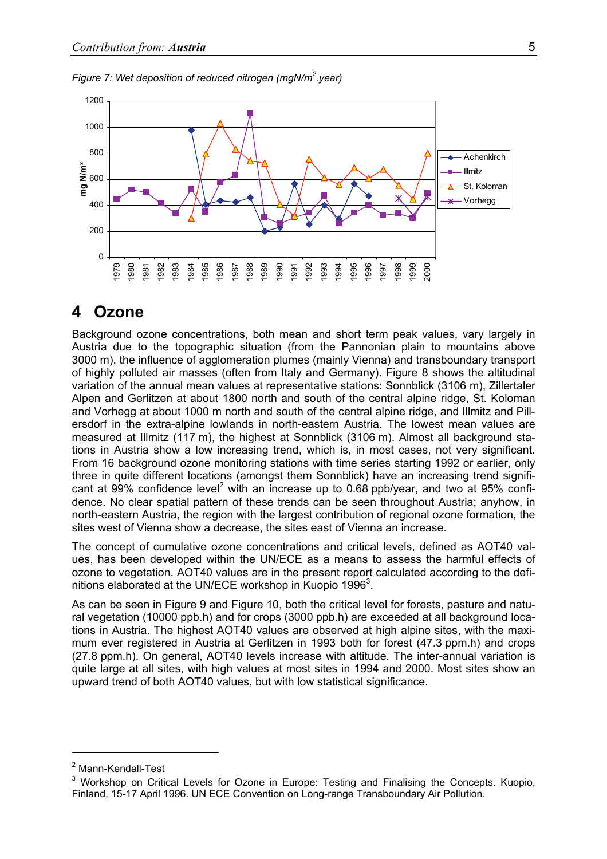



### **4 Ozone**

Background ozone concentrations, both mean and short term peak values, vary largely in Austria due to the topographic situation (from the Pannonian plain to mountains above 3000 m), the influence of agglomeration plumes (mainly Vienna) and transboundary transport of highly polluted air masses (often from Italy and Germany). Figure 8 shows the altitudinal variation of the annual mean values at representative stations: Sonnblick (3106 m), Zillertaler Alpen and Gerlitzen at about 1800 north and south of the central alpine ridge, St. Koloman and Vorhegg at about 1000 m north and south of the central alpine ridge, and Illmitz and Pillersdorf in the extra-alpine lowlands in north-eastern Austria. The lowest mean values are measured at Illmitz (117 m), the highest at Sonnblick (3106 m). Almost all background stations in Austria show a low increasing trend, which is, in most cases, not very significant. From 16 background ozone monitoring stations with time series starting 1992 or earlier, only three in quite different locations (amongst them Sonnblick) have an increasing trend significant at 99% confidence level<sup>2</sup> with an increase up to 0.68 ppb/year, and two at 95% confidence. No clear spatial pattern of these trends can be seen throughout Austria; anyhow, in north-eastern Austria, the region with the largest contribution of regional ozone formation, the sites west of Vienna show a decrease, the sites east of Vienna an increase.

The concept of cumulative ozone concentrations and critical levels, defined as AOT40 values, has been developed within the UN/ECE as a means to assess the harmful effects of ozone to vegetation. AOT40 values are in the present report calculated according to the definitions elaborated at the UN/ECE workshop in Kuopio 1996 $^3$ .

As can be seen in Figure 9 and Figure 10, both the critical level for forests, pasture and natural vegetation (10000 ppb.h) and for crops (3000 ppb.h) are exceeded at all background locations in Austria. The highest AOT40 values are observed at high alpine sites, with the maximum ever registered in Austria at Gerlitzen in 1993 both for forest (47.3 ppm.h) and crops (27.8 ppm.h). On general, AOT40 levels increase with altitude. The inter-annual variation is quite large at all sites, with high values at most sites in 1994 and 2000. Most sites show an upward trend of both AOT40 values, but with low statistical significance.

l

<sup>&</sup>lt;sup>2</sup> Mann-Kendall-Test

<sup>&</sup>lt;sup>3</sup> Workshop on Critical Levels for Ozone in Europe: Testing and Finalising the Concepts. Kuopio, Finland, 15-17 April 1996. UN ECE Convention on Long-range Transboundary Air Pollution.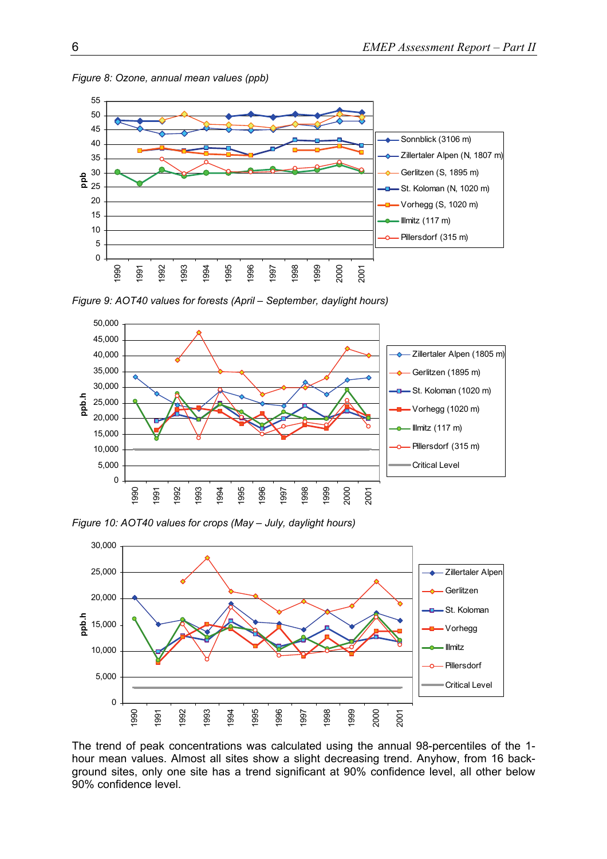

*Figure 8: Ozone, annual mean values (ppb)* 

*Figure 9: AOT40 values for forests (April – September, daylight hours)* 



*Figure 10: AOT40 values for crops (May – July, daylight hours)* 



The trend of peak concentrations was calculated using the annual 98-percentiles of the 1 hour mean values. Almost all sites show a slight decreasing trend. Anyhow, from 16 background sites, only one site has a trend significant at 90% confidence level, all other below 90% confidence level.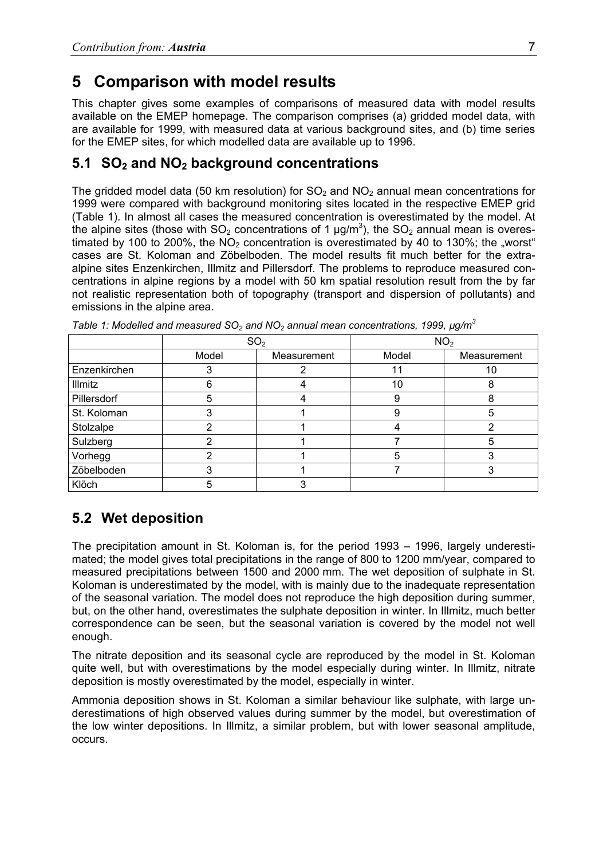## **5 Comparison with model results**

This chapter gives some examples of comparisons of measured data with model results available on the EMEP homepage. The comparison comprises (a) gridded model data, with are available for 1999, with measured data at various background sites, and (b) time series for the EMEP sites, for which modelled data are available up to 1996.

### **5.1 SO2 and NO2 background concentrations**

The gridded model data (50 km resolution) for  $SO<sub>2</sub>$  and  $NO<sub>2</sub>$  annual mean concentrations for 1999 were compared with background monitoring sites located in the respective EMEP grid (Table 1). In almost all cases the measured concentration is overestimated by the model. At the alpine sites (those with SO<sub>2</sub> concentrations of 1  $\mu$ g/m<sup>3</sup>), the SO<sub>2</sub> annual mean is overestimated by 100 to 200%, the  $NO<sub>2</sub>$  concentration is overestimated by 40 to 130%; the "worst" cases are St. Koloman and Zöbelboden. The model results fit much better for the extraalpine sites Enzenkirchen, Illmitz and Pillersdorf. The problems to reproduce measured concentrations in alpine regions by a model with 50 km spatial resolution result from the by far not realistic representation both of topography (transport and dispersion of pollutants) and emissions in the alpine area.

|              | SO <sub>2</sub> |             | NO <sub>2</sub> |             |
|--------------|-----------------|-------------|-----------------|-------------|
|              | Model           | Measurement | Model           | Measurement |
| Enzenkirchen |                 |             | 11              | 10          |
| Illmitz      | 6               |             | 10              | 8           |
| Pillersdorf  | 5               |             | 9               |             |
| St. Koloman  |                 |             | 9               | 5           |
| Stolzalpe    |                 |             |                 |             |
| Sulzberg     |                 |             |                 |             |
| Vorhegg      |                 |             | 5               |             |
| Zöbelboden   |                 |             |                 |             |
| Klöch        | 5               |             |                 |             |

*Table 1: Modelled and measured SO<sub>2</sub> and NO<sub>2</sub> annual mean concentrations, 1999, µg/m<sup>3</sup>* 

## **5.2 Wet deposition**

The precipitation amount in St. Koloman is, for the period 1993 – 1996, largely underestimated; the model gives total precipitations in the range of 800 to 1200 mm/year, compared to measured precipitations between 1500 and 2000 mm. The wet deposition of sulphate in St. Koloman is underestimated by the model, with is mainly due to the inadequate representation of the seasonal variation. The model does not reproduce the high deposition during summer, but, on the other hand, overestimates the sulphate deposition in winter. In Illmitz, much better correspondence can be seen, but the seasonal variation is covered by the model not well enough.

The nitrate deposition and its seasonal cycle are reproduced by the model in St. Koloman quite well, but with overestimations by the model especially during winter. In Illmitz, nitrate deposition is mostly overestimated by the model, especially in winter.

Ammonia deposition shows in St. Koloman a similar behaviour like sulphate, with large underestimations of high observed values during summer by the model, but overestimation of the low winter depositions. In Illmitz, a similar problem, but with lower seasonal amplitude, occurs.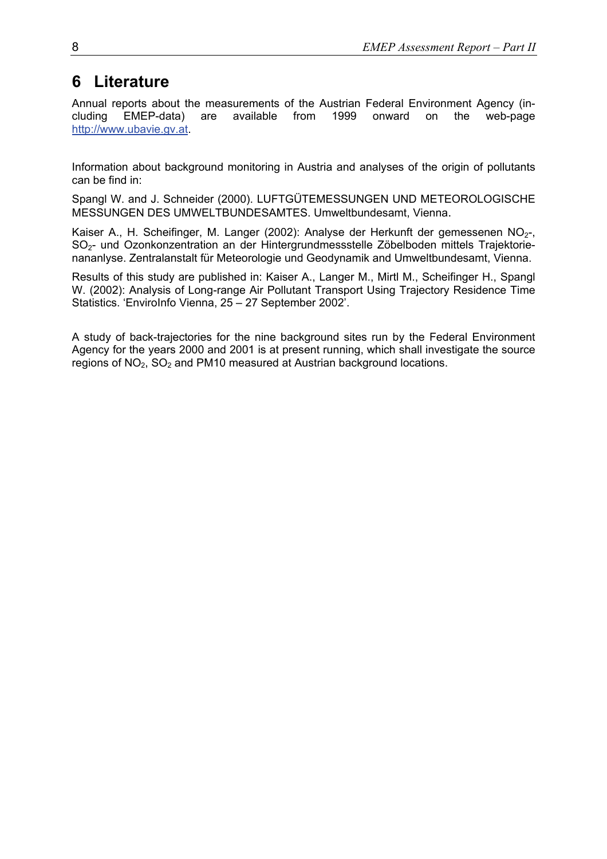# **6 Literature**

Annual reports about the measurements of the Austrian Federal Environment Agency (including EMEP-data) are available from 1999 onward on the web-page http://www.ubavie.gv.at.

Information about background monitoring in Austria and analyses of the origin of pollutants can be find in:

Spangl W. and J. Schneider (2000). LUFTGÜTEMESSUNGEN UND METEOROLOGISCHE MESSUNGEN DES UMWELTBUNDESAMTES. Umweltbundesamt, Vienna.

Kaiser A., H. Scheifinger, M. Langer (2002): Analyse der Herkunft der gemessenen NO<sub>2-</sub>, SO2- und Ozonkonzentration an der Hintergrundmessstelle Zöbelboden mittels Trajektorienananlyse. Zentralanstalt für Meteorologie und Geodynamik and Umweltbundesamt, Vienna.

Results of this study are published in: Kaiser A., Langer M., Mirtl M., Scheifinger H., Spangl W. (2002): Analysis of Long-range Air Pollutant Transport Using Trajectory Residence Time Statistics. 'EnviroInfo Vienna, 25 – 27 September 2002'.

A study of back-trajectories for the nine background sites run by the Federal Environment Agency for the years 2000 and 2001 is at present running, which shall investigate the source regions of  $NO<sub>2</sub>$ ,  $SO<sub>2</sub>$  and PM10 measured at Austrian background locations.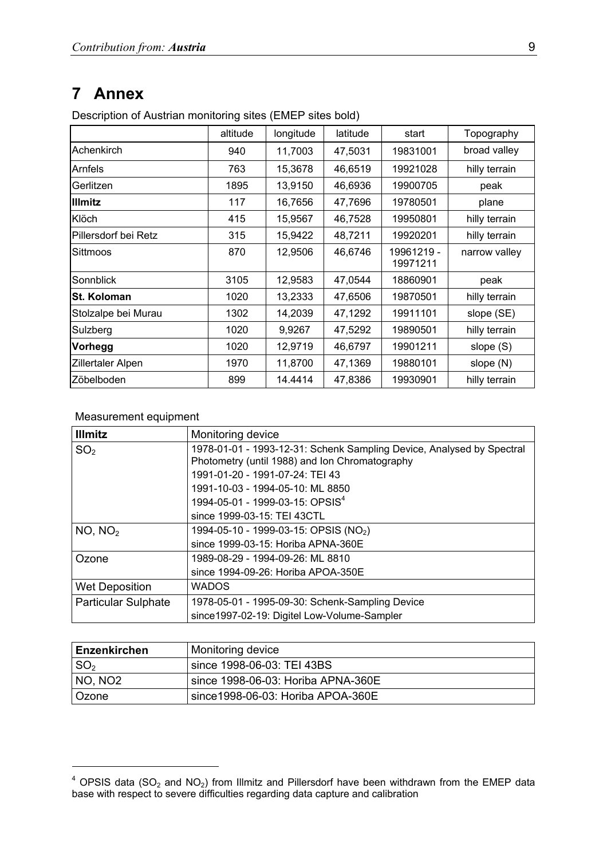## **7 Annex**

Description of Austrian monitoring sites (EMEP sites bold)

|                      | altitude | longitude | latitude | start                  | Topography    |
|----------------------|----------|-----------|----------|------------------------|---------------|
| Achenkirch           | 940      | 11,7003   | 47,5031  | 19831001               | broad valley  |
| Arnfels              | 763      | 15,3678   | 46,6519  | 19921028               | hilly terrain |
| Gerlitzen            | 1895     | 13,9150   | 46,6936  | 19900705               | peak          |
| <b>Illmitz</b>       | 117      | 16,7656   | 47,7696  | 19780501               | plane         |
| Klöch                | 415      | 15,9567   | 46,7528  | 19950801               | hilly terrain |
| Pillersdorf bei Retz | 315      | 15,9422   | 48,7211  | 19920201               | hilly terrain |
| Sittmoos             | 870      | 12,9506   | 46,6746  | 19961219 -<br>19971211 | narrow valley |
| Sonnblick            | 3105     | 12,9583   | 47,0544  | 18860901               | peak          |
| <b>St. Koloman</b>   | 1020     | 13,2333   | 47,6506  | 19870501               | hilly terrain |
| Stolzalpe bei Murau  | 1302     | 14,2039   | 47,1292  | 19911101               | slope (SE)    |
| Sulzberg             | 1020     | 9,9267    | 47,5292  | 19890501               | hilly terrain |
| <b>Vorhegg</b>       | 1020     | 12,9719   | 46,6797  | 19901211               | slope $(S)$   |
| Zillertaler Alpen    | 1970     | 11,8700   | 47,1369  | 19880101               | slope (N)     |
| Zöbelboden           | 899      | 14.4414   | 47,8386  | 19930901               | hilly terrain |

#### Measurement equipment

l

| <b>Illmitz</b>             | Monitoring device                                                     |
|----------------------------|-----------------------------------------------------------------------|
| SO <sub>2</sub>            | 1978-01-01 - 1993-12-31: Schenk Sampling Device, Analysed by Spectral |
|                            | Photometry (until 1988) and Ion Chromatography                        |
|                            | 1991-01-20 - 1991-07-24: TEI 43                                       |
|                            | 1991-10-03 - 1994-05-10: ML 8850                                      |
|                            | 1994-05-01 - 1999-03-15: OPSIS <sup>4</sup>                           |
|                            | since 1999-03-15: TEI 43CTL                                           |
| NO, NO <sub>2</sub>        | 1994-05-10 - 1999-03-15: OPSIS (NO <sub>2</sub> )                     |
|                            | since 1999-03-15: Horiba APNA-360E                                    |
| Ozone                      | 1989-08-29 - 1994-09-26: ML 8810                                      |
|                            | since 1994-09-26: Horiba APOA-350E                                    |
| <b>Wet Deposition</b>      | <b>WADOS</b>                                                          |
| <b>Particular Sulphate</b> | 1978-05-01 - 1995-09-30: Schenk-Sampling Device                       |
|                            | since 1997-02-19: Digitel Low-Volume-Sampler                          |

| Enzenkirchen        | Monitoring device                  |
|---------------------|------------------------------------|
| SO <sub>2</sub>     | since 1998-06-03: TEI 43BS         |
| NO, NO <sub>2</sub> | since 1998-06-03: Horiba APNA-360E |
| l Ozone             | since 1998-06-03: Horiba APOA-360E |

 $4$  OPSIS data (SO<sub>2</sub> and NO<sub>2</sub>) from Illmitz and Pillersdorf have been withdrawn from the EMEP data base with respect to severe difficulties regarding data capture and calibration